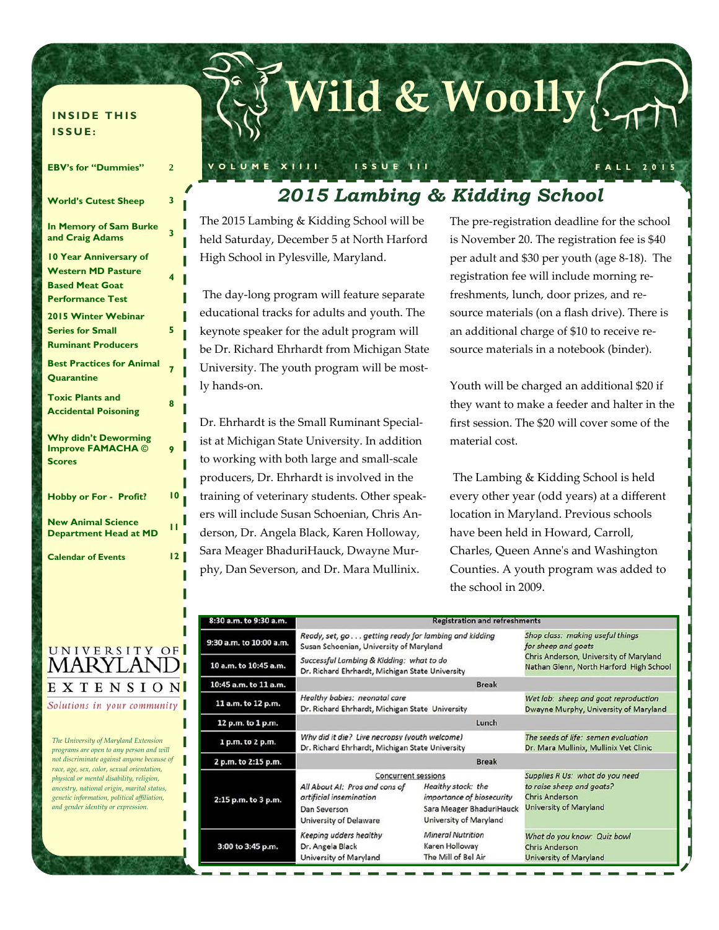#### **INSIDE THIS ISSUE:**

| <b>EBV's for "Dummies"</b>                                                                                      | $\overline{2}$ |
|-----------------------------------------------------------------------------------------------------------------|----------------|
| <b>World's Cutest Sheep</b>                                                                                     | 3              |
| In Memory of Sam Burke<br>and Craig Adams                                                                       | 3              |
| <b>10 Year Anniversary of</b><br><b>Western MD Pasture</b><br><b>Based Meat Goat</b><br><b>Performance Test</b> | 4              |
| 2015 Winter Webinar<br><b>Series for Small</b><br><b>Ruminant Producers</b>                                     | 5              |
| <b>Best Practices for Animal</b><br><b>Quarantine</b>                                                           | 7              |
| <b>Toxic Plants and</b><br><b>Accidental Poisoning</b>                                                          | 8              |
| <b>Why didn't Deworming</b><br><b>Improve FAMACHA ©</b><br><b>Scores</b>                                        | 9              |
| <b>Hobby or For - Profit?</b>                                                                                   | 10             |
| <b>New Animal Science</b><br><b>Department Head at MD</b>                                                       | п              |
| <b>Calendar of Events</b>                                                                                       | 12             |

# **Wild & Woolly**

**VOLUME XIIII ISSUE III FALL 2015** 

### *2015 Lambing & Kidding School*

The 2015 Lambing & Kidding School will be held Saturday, December 5 at North Harford High School in Pylesville, Maryland.

 The day‐long program will feature separate educational tracks for adults and youth. The keynote speaker for the adult program will be Dr. Richard Ehrhardt from Michigan State University. The youth program will be most‐ ly hands‐on.

Dr. Ehrhardt is the Small Ruminant Special‐ ist at Michigan State University. In addition to working with both large and small‐scale producers, Dr. Ehrhardt is involved in the training of veterinary students. Other speak‐ ers will include Susan Schoenian, Chris An‐ derson, Dr. Angela Black, Karen Holloway, Sara Meager BhaduriHauck, Dwayne Mur‐ phy, Dan Severson, and Dr. Mara Mullinix.

The pre‐registration deadline for the school is November 20. The registration fee is \$40 per adult and \$30 per youth (age 8‐18). The registration fee will include morning re‐ freshments, lunch, door prizes, and re‐ source materials (on a flash drive). There is an additional charge of \$10 to receive re‐ source materials in a notebook (binder).

Youth will be charged an additional \$20 if they want to make a feeder and halter in the first session. The \$20 will cover some of the material cost.

 The Lambing & Kidding School is held every other year (odd years) at a different location in Maryland. Previous schools have been held in Howard, Carroll, Charles, Queen Anneʹs and Washington Counties. A youth program was added to the school in 2009.

| 8:30 a.m. to 9:30 a.m.  | <b>Registration and refreshments</b>                                                                                                     |                                                                                                       |                                                                                                                 |  |  |  |
|-------------------------|------------------------------------------------------------------------------------------------------------------------------------------|-------------------------------------------------------------------------------------------------------|-----------------------------------------------------------------------------------------------------------------|--|--|--|
| 9:30 a.m. to 10:00 a.m. | Ready, set, go getting ready for lambing and kidding<br>Susan Schoenian, University of Maryland                                          |                                                                                                       | Shop class: making useful things<br>for sheep and goats                                                         |  |  |  |
| 10 a.m. to 10:45 a.m.   | Successful Lambing & Kidding: what to do<br>Dr. Richard Ehrhardt, Michigan State University                                              | Chris Anderson, University of Maryland<br>Nathan Glenn, North Harford High School                     |                                                                                                                 |  |  |  |
| 10:45 a.m. to 11 a.m.   |                                                                                                                                          | <b>Break</b>                                                                                          |                                                                                                                 |  |  |  |
| 11 a.m. to 12 p.m.      | Healthy babies: neonatal care<br>Dr. Richard Ehrhardt, Michigan State University                                                         |                                                                                                       | Wet lab: sheep and goat reproduction<br>Dwayne Murphy, University of Maryland                                   |  |  |  |
| 12 p.m. to 1 p.m.       |                                                                                                                                          |                                                                                                       |                                                                                                                 |  |  |  |
| 1 p.m. to 2 p.m.        | Why did it die? Live necropsy (youth welcome)<br>Dr. Richard Ehrhardt, Michigan State University                                         | The seeds of life: semen evaluation<br>Dr. Mara Mullinix, Mullinix Vet Clinic                         |                                                                                                                 |  |  |  |
| 2 p.m. to 2:15 p.m.     |                                                                                                                                          |                                                                                                       |                                                                                                                 |  |  |  |
| 2:15 p.m. to 3 p.m.     | <b>Concurrent sessions</b><br>All About AI: Pros and cons of<br>artificial insemination<br>Dan Severson<br><b>University of Delaware</b> | Healthy stock: the<br>importance of biosecurity<br>Sara Meager BhaduriHauck<br>University of Maryland | Supplies R Us: what do you need<br>to raise sheep and goats?<br><b>Chris Anderson</b><br>University of Maryland |  |  |  |
| 3:00 to 3:45 p.m.       | Keeping udders healthy<br>Dr. Angela Black<br>University of Maryland                                                                     | <b>Mineral Nutrition</b><br>Karen Holloway<br>The Mill of Bel Air                                     | What do you know: Quiz bowl<br><b>Chris Anderson</b><br>University of Maryland                                  |  |  |  |

### UNIVERSITY OF MARYLAND EXTENSION

Solutions in your community

L П

ı

*The University of Maryland Extension programs are open to any person and will not discriminate against anyone because of race, age, sex, color, sexual orientation, physical or mental disability, religion, ancestry, national origin, marital status, genetic information, political affiliation, and gender identity or expression.*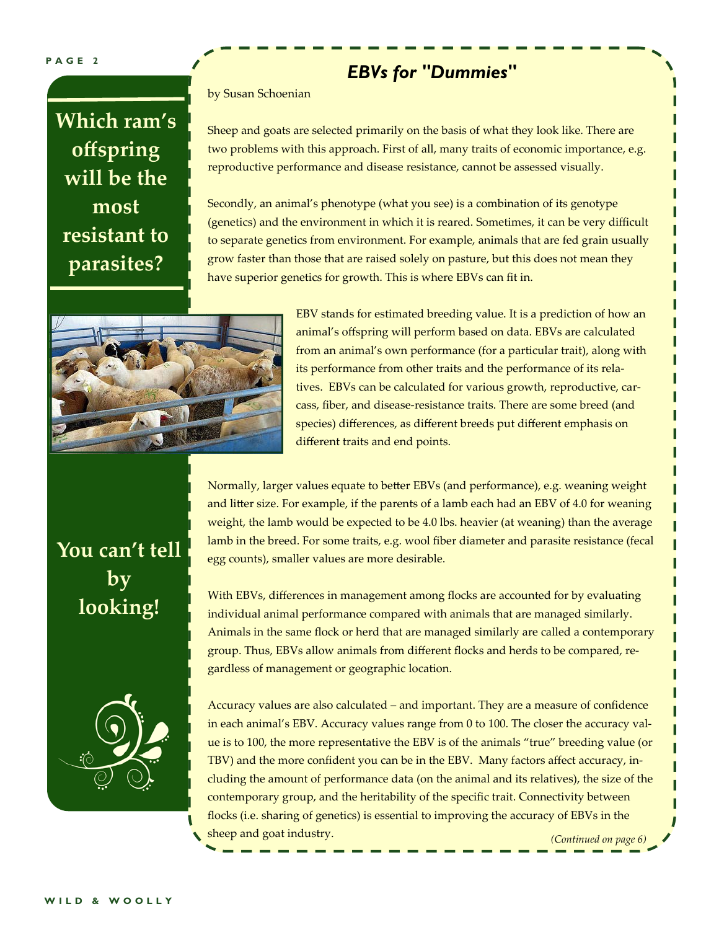#### **PAGE 2**

## **Which ram's offspring will be the most resistant to parasites?**

### *EBVs for "Dummies"*

by Susan Schoenian

Sheep and goats are selected primarily on the basis of what they look like. There are two problems with this approach. First of all, many traits of economic importance, e.g. reproductive performance and disease resistance, cannot be assessed visually.

Secondly, an animal's phenotype (what you see) is a combination of its genotype (genetics) and the environment in which it is reared. Sometimes, it can be very difficult to separate genetics from environment. For example, animals that are fed grain usually grow faster than those that are raised solely on pasture, but this does not mean they have superior genetics for growth. This is where EBVs can fit in.



EBV stands for estimated breeding value. It is a prediction of how an animal's offspring will perform based on data. EBVs are calculated from an animal's own performance (for a particular trait), along with its performance from other traits and the performance of its rela‐ tives. EBVs can be calculated for various growth, reproductive, car‐ cass, fiber, and disease‐resistance traits. There are some breed (and species) differences, as different breeds put different emphasis on different traits and end points.

Normally, larger values equate to better EBVs (and performance), e.g. weaning weight and litter size. For example, if the parents of a lamb each had an EBV of 4.0 for weaning weight, the lamb would be expected to be 4.0 lbs. heavier (at weaning) than the average lamb in the breed. For some traits, e.g. wool fiber diameter and parasite resistance (fecal egg counts), smaller values are more desirable.

With EBVs, differences in management among flocks are accounted for by evaluating individual animal performance compared with animals that are managed similarly. Animals in the same flock or herd that are managed similarly are called a contemporary group. Thus, EBVs allow animals from different flocks and herds to be compared, re‐ gardless of management or geographic location.



**You can't tell** 

**by** 

**looking!** 

Accuracy values are also calculated – and important. They are a measure of confidence in each animal's EBV. Accuracy values range from 0 to 100. The closer the accuracy value is to 100, the more representative the EBV is of the animals "true" breeding value (or TBV) and the more confident you can be in the EBV. Many factors affect accuracy, in‐ cluding the amount of performance data (on the animal and its relatives), the size of the contemporary group, and the heritability of the specific trait. Connectivity between flocks (i.e. sharing of genetics) is essential to improving the accuracy of EBVs in the sheep and goat industry. *(Continued on page 6)*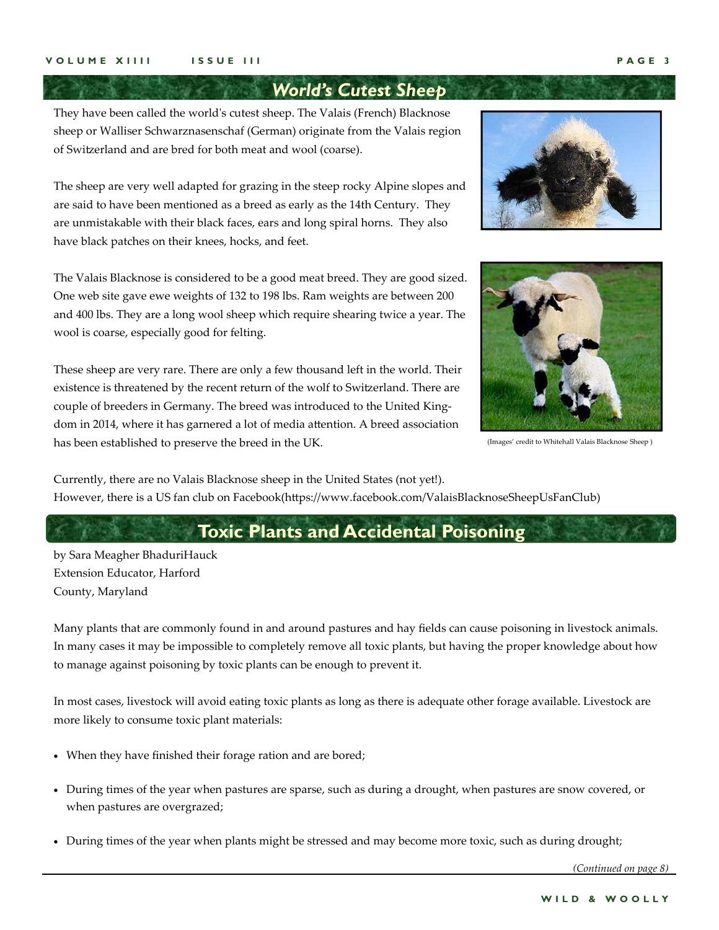### *World's Cutest Sheep*

They have been called the worldʹs cutest sheep. The Valais (French) Blacknose sheep or Walliser Schwarznasenschaf (German) originate from the Valais region of Switzerland and are bred for both meat and wool (coarse).

The sheep are very well adapted for grazing in the steep rocky Alpine slopes and are said to have been mentioned as a breed as early as the 14th Century. They are unmistakable with their black faces, ears and long spiral horns. They also have black patches on their knees, hocks, and feet.

The Valais Blacknose is considered to be a good meat breed. They are good sized. One web site gave ewe weights of 132 to 198 lbs. Ram weights are between 200 and 400 lbs. They are a long wool sheep which require shearing twice a year. The wool is coarse, especially good for felting.

These sheep are very rare. There are only a few thousand left in the world. Their existence is threatened by the recent return of the wolf to Switzerland. There are couple of breeders in Germany. The breed was introduced to the United Kingdom in 2014, where it has garnered a lot of media attention. A breed association has been established to preserve the breed in the UK.





(Images' credit to Whitehall Valais Blacknose Sheep )

Currently, there are no Valais Blacknose sheep in the United States (not yet!). However, there is a US fan club on Facebook(https://www.facebook.com/ValaisBlacknoseSheepUsFanClub)

### **Toxic Plants and Accidental Poisoning**

by Sara Meagher BhaduriHauck Extension Educator, Harford County, Maryland

Many plants that are commonly found in and around pastures and hay fields can cause poisoning in livestock animals. In many cases it may be impossible to completely remove all toxic plants, but having the proper knowledge about how to manage against poisoning by toxic plants can be enough to prevent it.

In most cases, livestock will avoid eating toxic plants as long as there is adequate other forage available. Livestock are more likely to consume toxic plant materials:

- When they have finished their forage ration and are bored;
- During times of the year when pastures are sparse, such as during a drought, when pastures are snow covered, or when pastures are overgrazed;
- During times of the year when plants might be stressed and may become more toxic, such as during drought;

*(Continued on page 8)*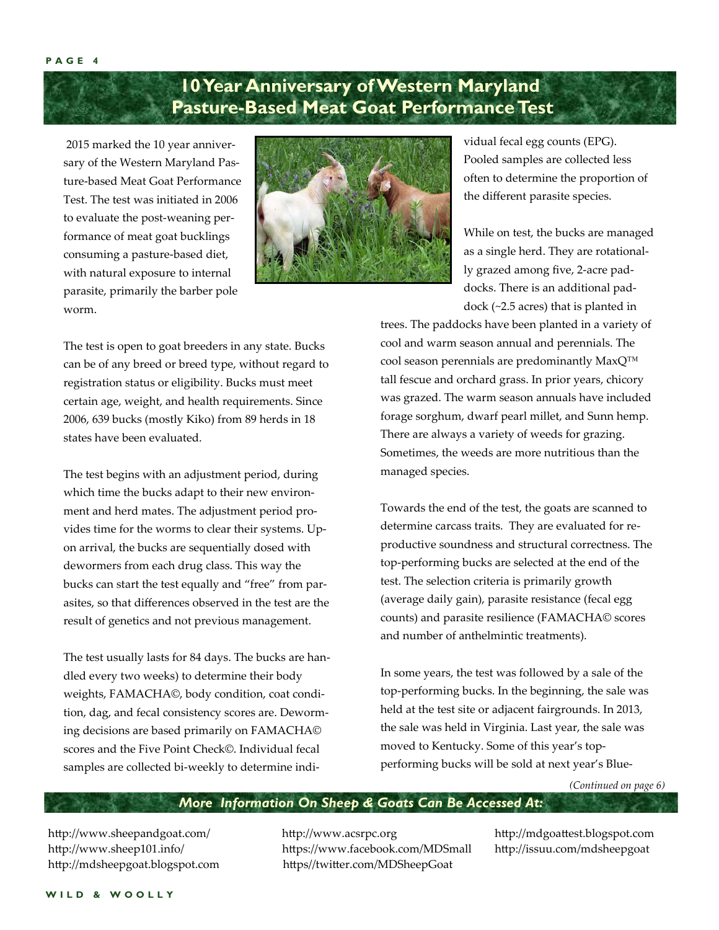### **10 Year Anniversary of Western Maryland Pasture-Based Meat Goat Performance Test**

 2015 marked the 10 year anniver‐ sary of the Western Maryland Pas‐ ture‐based Meat Goat Performance Test. The test was initiated in 2006 to evaluate the post‐weaning per‐ formance of meat goat bucklings consuming a pasture‐based diet, with natural exposure to internal parasite, primarily the barber pole worm.



The test is open to goat breeders in any state. Bucks can be of any breed or breed type, without regard to registration status or eligibility. Bucks must meet certain age, weight, and health requirements. Since 2006, 639 bucks (mostly Kiko) from 89 herds in 18 states have been evaluated.

The test begins with an adjustment period, during which time the bucks adapt to their new environment and herd mates. The adjustment period provides time for the worms to clear their systems. Up‐ on arrival, the bucks are sequentially dosed with dewormers from each drug class. This way the bucks can start the test equally and "free" from par‐ asites, so that differences observed in the test are the result of genetics and not previous management.

The test usually lasts for 84 days. The bucks are han‐ dled every two weeks) to determine their body weights, FAMACHA©, body condition, coat condi‐ tion, dag, and fecal consistency scores are. Deworm‐ ing decisions are based primarily on FAMACHA© scores and the Five Point Check©. Individual fecal samples are collected bi-weekly to determine indi-

vidual fecal egg counts (EPG). Pooled samples are collected less often to determine the proportion of the different parasite species.

While on test, the bucks are managed as a single herd. They are rotational‐ ly grazed among five, 2‐acre pad‐ docks. There is an additional pad‐ dock (~2.5 acres) that is planted in

trees. The paddocks have been planted in a variety of cool and warm season annual and perennials. The cool season perennials are predominantly MaxQ™ tall fescue and orchard grass. In prior years, chicory was grazed. The warm season annuals have included forage sorghum, dwarf pearl millet, and Sunn hemp. There are always a variety of weeds for grazing. Sometimes, the weeds are more nutritious than the managed species.

Towards the end of the test, the goats are scanned to determine carcass traits. They are evaluated for re‐ productive soundness and structural correctness. The top‐performing bucks are selected at the end of the test. The selection criteria is primarily growth (average daily gain), parasite resistance (fecal egg counts) and parasite resilience (FAMACHA© scores and number of anthelmintic treatments).

In some years, the test was followed by a sale of the top‐performing bucks. In the beginning, the sale was held at the test site or adjacent fairgrounds. In 2013, the sale was held in Virginia. Last year, the sale was moved to Kentucky. Some of this year's top‐ performing bucks will be sold at next year's Blue‐

*(Continued on page 6)* 

#### *More Information On Sheep & Goats Can Be Accessed At:*

http://www.sheepandgoat.com/ http://www.acsrpc.org http://mdgoattest.blogspot.com http://www.sheep101.info/ https://www.facebook.com/MDSmall http://issuu.com/mdsheepgoat http://mdsheepgoat.blogspot.com https//twitter.com/MDSheepGoat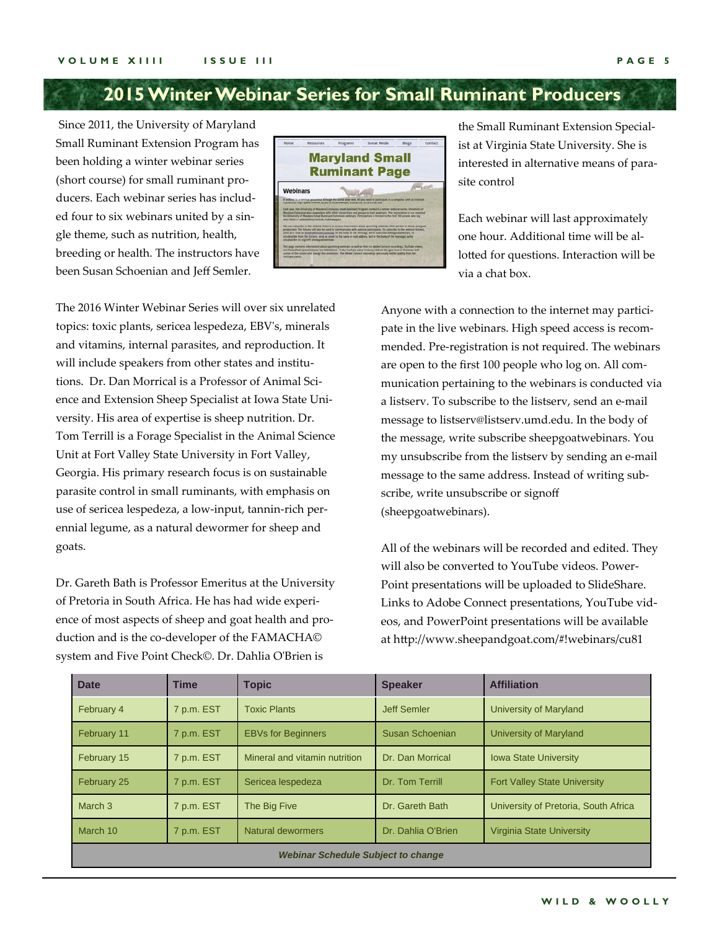### **2015 Winter Webinar Series for Small Ruminant Producers**

 Since 2011, the University of Maryland Small Ruminant Extension Program has been holding a winter webinar series (short course) for small ruminant pro‐ ducers. Each webinar series has includ‐ ed four to six webinars united by a sin‐ gle theme, such as nutrition, health, breeding or health. The instructors have been Susan Schoenian and Jeff Semler.



the Small Ruminant Extension Special‐ ist at Virginia State University. She is interested in alternative means of para‐ site control

Each webinar will last approximately one hour. Additional time will be al‐ lotted for questions. Interaction will be via a chat box.

The 2016 Winter Webinar Series will over six unrelated topics: toxic plants, sericea lespedeza, EBVʹs, minerals and vitamins, internal parasites, and reproduction. It will include speakers from other states and institutions. Dr. Dan Morrical is a Professor of Animal Science and Extension Sheep Specialist at Iowa State Uni‐ versity. His area of expertise is sheep nutrition. Dr. Tom Terrill is a Forage Specialist in the Animal Science Unit at Fort Valley State University in Fort Valley, Georgia. His primary research focus is on sustainable parasite control in small ruminants, with emphasis on use of sericea lespedeza, a low‐input, tannin‐rich per‐ ennial legume, as a natural dewormer for sheep and goats.

Dr. Gareth Bath is Professor Emeritus at the University of Pretoria in South Africa. He has had wide experi‐ ence of most aspects of sheep and goat health and pro‐ duction and is the co-developer of the FAMACHA© system and Five Point Check©. Dr. Dahlia OʹBrien is

Anyone with a connection to the internet may participate in the live webinars. High speed access is recom‐ mended. Pre‐registration is not required. The webinars are open to the first 100 people who log on. All com‐ munication pertaining to the webinars is conducted via a listserv. To subscribe to the listserv, send an e‐mail message to listserv@listserv.umd.edu. In the body of the message, write subscribe sheepgoatwebinars. You my unsubscribe from the listserv by sending an e‐mail message to the same address. Instead of writing sub‐ scribe, write unsubscribe or signoff (sheepgoatwebinars).

All of the webinars will be recorded and edited. They will also be converted to YouTube videos. Power-Point presentations will be uploaded to SlideShare. Links to Adobe Connect presentations, YouTube vid‐ eos, and PowerPoint presentations will be available at http://www.sheepandgoat.com/#!webinars/cu81

| <b>Date</b>                               | <b>Time</b> | Topic                         | <b>Speaker</b>                                   | <b>Affiliation</b>                   |  |
|-------------------------------------------|-------------|-------------------------------|--------------------------------------------------|--------------------------------------|--|
| February 4                                | 7 p.m. EST  | <b>Toxic Plants</b>           | Jeff Semler<br>University of Maryland            |                                      |  |
| February 11                               | 7 p.m. EST  | <b>EBVs for Beginners</b>     | Susan Schoenian                                  | University of Maryland               |  |
| February 15                               | 7 p.m. EST  | Mineral and vitamin nutrition | Dr. Dan Morrical<br><b>Iowa State University</b> |                                      |  |
| February 25                               | 7 p.m. EST  | Sericea lespedeza             | Dr. Tom Terrill                                  | <b>Fort Valley State University</b>  |  |
| March <sub>3</sub>                        | 7 p.m. EST  | The Big Five                  | Dr. Gareth Bath                                  | University of Pretoria, South Africa |  |
| March 10                                  | 7 p.m. EST  | Natural dewormers             | Dr. Dahlia O'Brien                               | <b>Virginia State University</b>     |  |
| <b>Webinar Schedule Subject to change</b> |             |                               |                                                  |                                      |  |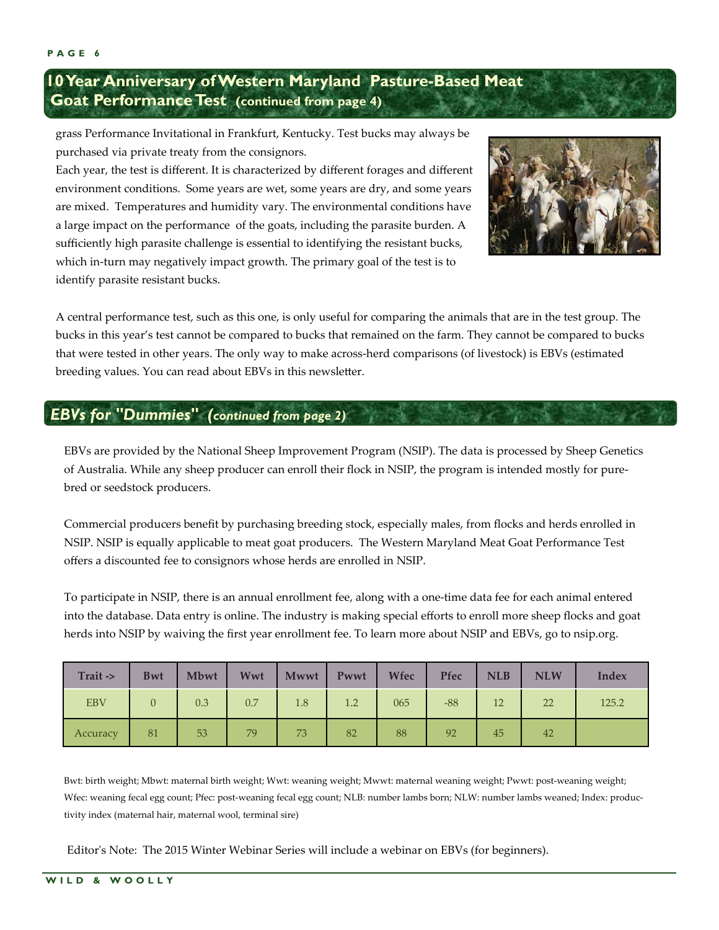### **10 Year Anniversary of Western Maryland Pasture-Based Meat Goat Performance Test (continued from page 4)**

grass Performance Invitational in Frankfurt, Kentucky. Test bucks may always be purchased via private treaty from the consignors.

Each year, the test is different. It is characterized by different forages and different environment conditions. Some years are wet, some years are dry, and some years are mixed. Temperatures and humidity vary. The environmental conditions have a large impact on the performance of the goats, including the parasite burden. A sufficiently high parasite challenge is essential to identifying the resistant bucks, which in-turn may negatively impact growth. The primary goal of the test is to identify parasite resistant bucks.



A central performance test, such as this one, is only useful for comparing the animals that are in the test group. The bucks in this year's test cannot be compared to bucks that remained on the farm. They cannot be compared to bucks that were tested in other years. The only way to make across‐herd comparisons (of livestock) is EBVs (estimated breeding values. You can read about EBVs in this newsletter.

### *EBVs for "Dummies" (continued from page 2)*

EBVs are provided by the National Sheep Improvement Program (NSIP). The data is processed by Sheep Genetics of Australia. While any sheep producer can enroll their flock in NSIP, the program is intended mostly for pure‐ bred or seedstock producers.

Commercial producers benefit by purchasing breeding stock, especially males, from flocks and herds enrolled in NSIP. NSIP is equally applicable to meat goat producers. The Western Maryland Meat Goat Performance Test offers a discounted fee to consignors whose herds are enrolled in NSIP.

To participate in NSIP, there is an annual enrollment fee, along with a one‐time data fee for each animal entered into the database. Data entry is online. The industry is making special efforts to enroll more sheep flocks and goat herds into NSIP by waiving the first year enrollment fee. To learn more about NSIP and EBVs, go to nsip.org.

| Trait ->   | <b>Bwt</b>     | Mbwt | Wwt | <b>Mwwt</b> | Pwwt | Wfec | Pfec  | <b>NLB</b> | <b>NLW</b> | <b>Index</b> |
|------------|----------------|------|-----|-------------|------|------|-------|------------|------------|--------------|
| <b>EBV</b> | $\overline{0}$ | 0.3  | 0.7 | 1.8         | 1.2  | 065  | $-88$ | 12         | 22         | 125.2        |
| Accuracy   | 81             | 53   | 79  | 73          | 82   | 88   | 92    | 45         | 42         |              |

Bwt: birth weight; Mbwt: maternal birth weight; Wwt: weaning weight; Mwwt: maternal weaning weight; Pwwt: post‐weaning weight; Wfec: weaning fecal egg count; Pfec: post‐weaning fecal egg count; NLB: number lambs born; NLW: number lambs weaned; Index: produc‐ tivity index (maternal hair, maternal wool, terminal sire)

Editor's Note: The 2015 Winter Webinar Series will include a webinar on EBVs (for beginners).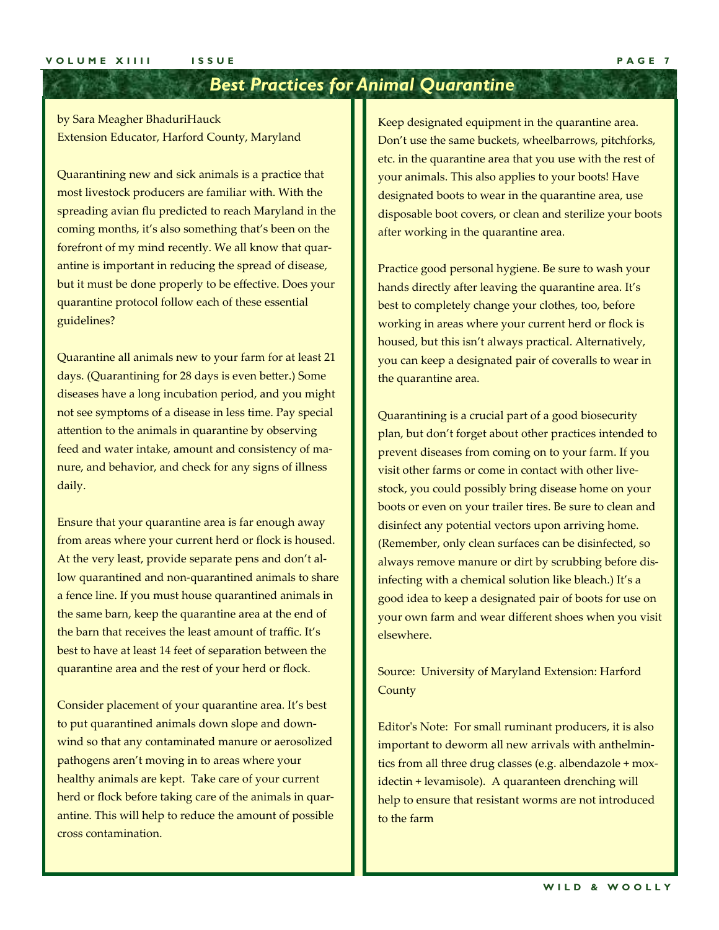### *Best Practices for Animal Quarantine*

by Sara Meagher BhaduriHauck Extension Educator, Harford County, Maryland

Quarantining new and sick animals is a practice that most livestock producers are familiar with. With the spreading avian flu predicted to reach Maryland in the coming months, it's also something that's been on the forefront of my mind recently. We all know that quar‐ antine is important in reducing the spread of disease, but it must be done properly to be effective. Does your quarantine protocol follow each of these essential guidelines?

Quarantine all animals new to your farm for at least 21 days. (Quarantining for 28 days is even better.) Some diseases have a long incubation period, and you might not see symptoms of a disease in less time. Pay special attention to the animals in quarantine by observing feed and water intake, amount and consistency of ma‐ nure, and behavior, and check for any signs of illness daily.

Ensure that your quarantine area is far enough away from areas where your current herd or flock is housed. At the very least, provide separate pens and don't al‐ low quarantined and non‐quarantined animals to share a fence line. If you must house quarantined animals in the same barn, keep the quarantine area at the end of the barn that receives the least amount of traffic. It's best to have at least 14 feet of separation between the quarantine area and the rest of your herd or flock.

Consider placement of your quarantine area. It's best to put quarantined animals down slope and down‐ wind so that any contaminated manure or aerosolized pathogens aren't moving in to areas where your healthy animals are kept. Take care of your current herd or flock before taking care of the animals in quarantine. This will help to reduce the amount of possible cross contamination.

Keep designated equipment in the quarantine area. Don't use the same buckets, wheelbarrows, pitchforks, etc. in the quarantine area that you use with the rest of your animals. This also applies to your boots! Have designated boots to wear in the quarantine area, use disposable boot covers, or clean and sterilize your boots after working in the quarantine area.

Practice good personal hygiene. Be sure to wash your hands directly after leaving the quarantine area. It's best to completely change your clothes, too, before working in areas where your current herd or flock is housed, but this isn't always practical. Alternatively, you can keep a designated pair of coveralls to wear in the quarantine area.

Quarantining is a crucial part of a good biosecurity plan, but don't forget about other practices intended to prevent diseases from coming on to your farm. If you visit other farms or come in contact with other live‐ stock, you could possibly bring disease home on your boots or even on your trailer tires. Be sure to clean and disinfect any potential vectors upon arriving home. (Remember, only clean surfaces can be disinfected, so always remove manure or dirt by scrubbing before dis‐ infecting with a chemical solution like bleach.) It's a good idea to keep a designated pair of boots for use on your own farm and wear different shoes when you visit elsewhere.

Source: University of Maryland Extension: Harford **County** 

Editor's Note: For small ruminant producers, it is also important to deworm all new arrivals with anthelmin‐ tics from all three drug classes (e.g. albendazole + mox‐ idectin + levamisole). A quaranteen drenching will help to ensure that resistant worms are not introduced to the farm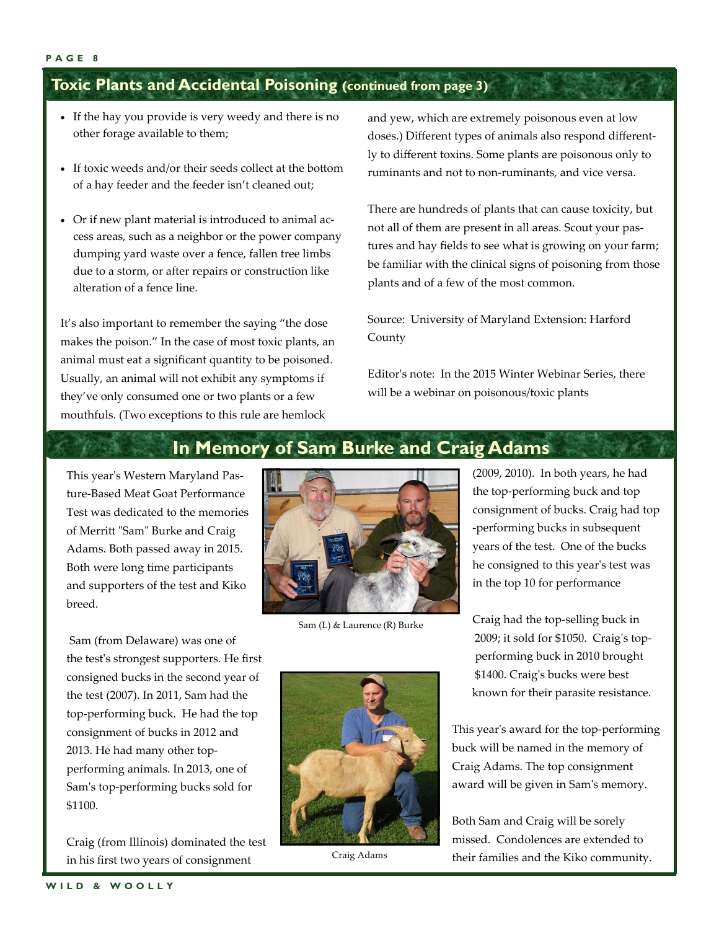### **Toxic Plants and Accidental Poisoning (continued from page 3)**

- If the hay you provide is very weedy and there is no other forage available to them;
- If toxic weeds and/or their seeds collect at the bottom of a hay feeder and the feeder isn't cleaned out;
- Or if new plant material is introduced to animal ac‐ cess areas, such as a neighbor or the power company dumping yard waste over a fence, fallen tree limbs due to a storm, or after repairs or construction like alteration of a fence line.

It's also important to remember the saying "the dose makes the poison." In the case of most toxic plants, an animal must eat a significant quantity to be poisoned. Usually, an animal will not exhibit any symptoms if they've only consumed one or two plants or a few mouthfuls. (Two exceptions to this rule are hemlock

and yew, which are extremely poisonous even at low doses.) Different types of animals also respond different‐ ly to different toxins. Some plants are poisonous only to ruminants and not to non‐ruminants, and vice versa.

There are hundreds of plants that can cause toxicity, but not all of them are present in all areas. Scout your pas‐ tures and hay fields to see what is growing on your farm; be familiar with the clinical signs of poisoning from those plants and of a few of the most common.

Source: University of Maryland Extension: Harford County

Editor's note: In the 2015 Winter Webinar Series, there will be a webinar on poisonous/toxic plants

### **In Memory of Sam Burke and Craig Adams**

This year's Western Maryland Pasture‐Based Meat Goat Performance Test was dedicated to the memories of Merritt "Sam" Burke and Craig Adams. Both passed away in 2015. Both were long time participants and supporters of the test and Kiko breed.

 Sam (from Delaware) was one of the testʹs strongest supporters. He first consigned bucks in the second year of the test (2007). In 2011, Sam had the top‐performing buck. He had the top consignment of bucks in 2012 and 2013. He had many other top‐ performing animals. In 2013, one of Samʹs top‐performing bucks sold for \$1100.

Craig (from Illinois) dominated the test in his first two years of consignment



Sam (L) & Laurence (R) Burke



(2009, 2010). In both years, he had the top‐performing buck and top consignment of bucks. Craig had top ‐performing bucks in subsequent years of the test. One of the bucks he consigned to this yearʹs test was in the top 10 for performance

Craig had the top‐selling buck in 2009; it sold for \$1050. Craig's top performing buck in 2010 brought \$1400. Craig's bucks were best known for their parasite resistance.

This year's award for the top-performing buck will be named in the memory of Craig Adams. The top consignment award will be given in Samʹs memory.

Both Sam and Craig will be sorely missed. Condolences are extended to Craig Adams their families and the Kiko community.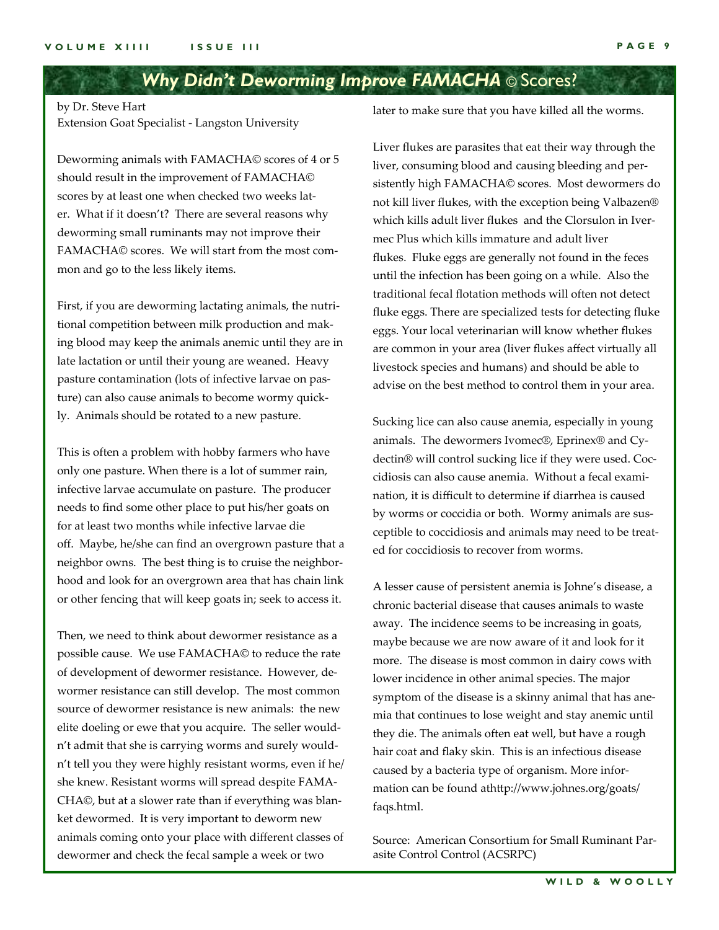### *Why Didn't Deworming Improve FAMACHA* © Scores?

by Dr. Steve Hart Extension Goat Specialist ‐ Langston University

Deworming animals with FAMACHA© scores of 4 or 5 should result in the improvement of FAMACHA© scores by at least one when checked two weeks later. What if it doesn't? There are several reasons why deworming small ruminants may not improve their FAMACHA© scores. We will start from the most common and go to the less likely items.

First, if you are deworming lactating animals, the nutri‐ tional competition between milk production and mak‐ ing blood may keep the animals anemic until they are in late lactation or until their young are weaned. Heavy pasture contamination (lots of infective larvae on pas‐ ture) can also cause animals to become wormy quick‐ ly. Animals should be rotated to a new pasture.

This is often a problem with hobby farmers who have only one pasture. When there is a lot of summer rain, infective larvae accumulate on pasture. The producer needs to find some other place to put his/her goats on for at least two months while infective larvae die off. Maybe, he/she can find an overgrown pasture that a neighbor owns. The best thing is to cruise the neighbor‐ hood and look for an overgrown area that has chain link or other fencing that will keep goats in; seek to access it.

Then, we need to think about dewormer resistance as a possible cause. We use FAMACHA© to reduce the rate of development of dewormer resistance. However, de‐ wormer resistance can still develop. The most common source of dewormer resistance is new animals: the new elite doeling or ewe that you acquire. The seller would‐ n't admit that she is carrying worms and surely would‐ n't tell you they were highly resistant worms, even if he/ she knew. Resistant worms will spread despite FAMA‐ CHA©, but at a slower rate than if everything was blan‐ ket dewormed. It is very important to deworm new animals coming onto your place with different classes of dewormer and check the fecal sample a week or two

later to make sure that you have killed all the worms.

Liver flukes are parasites that eat their way through the liver, consuming blood and causing bleeding and per‐ sistently high FAMACHA© scores. Most dewormers do not kill liver flukes, with the exception being Valbazen® which kills adult liver flukes and the Clorsulon in Ivermec Plus which kills immature and adult liver flukes. Fluke eggs are generally not found in the feces until the infection has been going on a while. Also the traditional fecal flotation methods will often not detect fluke eggs. There are specialized tests for detecting fluke eggs. Your local veterinarian will know whether flukes are common in your area (liver flukes affect virtually all livestock species and humans) and should be able to advise on the best method to control them in your area.

Sucking lice can also cause anemia, especially in young animals. The dewormers Ivomec®, Eprinex® and Cy‐ dectin® will control sucking lice if they were used. Coc‐ cidiosis can also cause anemia. Without a fecal exami‐ nation, it is difficult to determine if diarrhea is caused by worms or coccidia or both. Wormy animals are sus‐ ceptible to coccidiosis and animals may need to be treat‐ ed for coccidiosis to recover from worms.

A lesser cause of persistent anemia is Johne's disease, a chronic bacterial disease that causes animals to waste away. The incidence seems to be increasing in goats, maybe because we are now aware of it and look for it more. The disease is most common in dairy cows with lower incidence in other animal species. The major symptom of the disease is a skinny animal that has anemia that continues to lose weight and stay anemic until they die. The animals often eat well, but have a rough hair coat and flaky skin. This is an infectious disease caused by a bacteria type of organism. More infor‐ mation can be found athttp://www.johnes.org/goats/ faqs.html.

Source: American Consortium for Small Ruminant Par‐ asite Control Control (ACSRPC)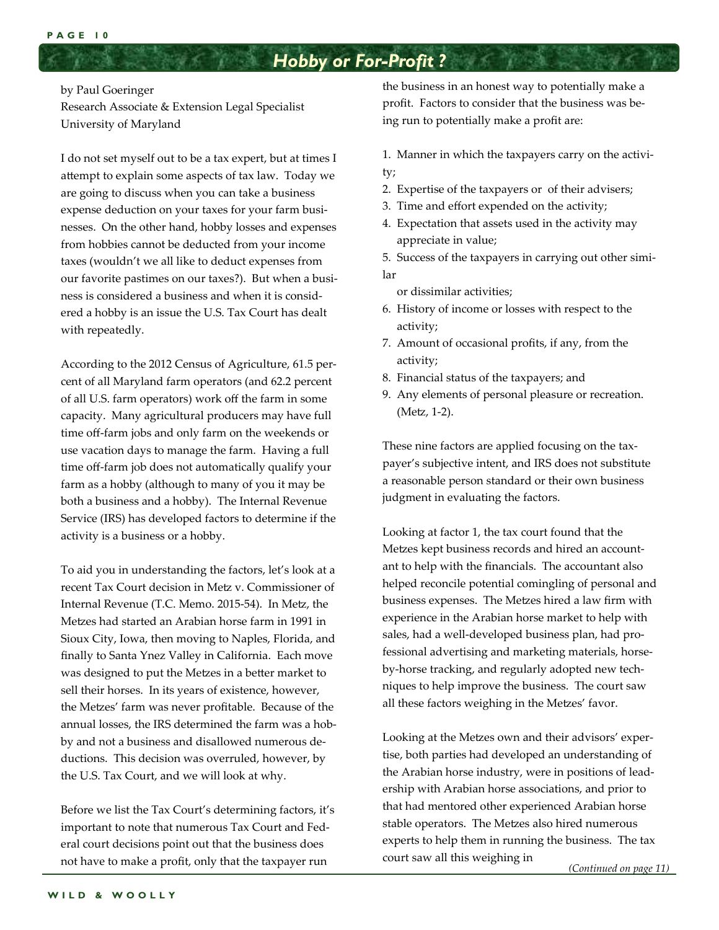### *Hobby or For-Profit ?*

#### by Paul Goeringer

Research Associate & Extension Legal Specialist University of Maryland

I do not set myself out to be a tax expert, but at times I attempt to explain some aspects of tax law. Today we are going to discuss when you can take a business expense deduction on your taxes for your farm busi‐ nesses. On the other hand, hobby losses and expenses from hobbies cannot be deducted from your income taxes (wouldn't we all like to deduct expenses from our favorite pastimes on our taxes?). But when a business is considered a business and when it is consid‐ ered a hobby is an issue the U.S. Tax Court has dealt with repeatedly.

According to the 2012 Census of Agriculture, 61.5 per‐ cent of all Maryland farm operators (and 62.2 percent of all U.S. farm operators) work off the farm in some capacity. Many agricultural producers may have full time off-farm jobs and only farm on the weekends or use vacation days to manage the farm. Having a full time off-farm job does not automatically qualify your farm as a hobby (although to many of you it may be both a business and a hobby). The Internal Revenue Service (IRS) has developed factors to determine if the activity is a business or a hobby.

To aid you in understanding the factors, let's look at a recent Tax Court decision in Metz v. Commissioner of Internal Revenue (T.C. Memo. 2015‐54). In Metz, the Metzes had started an Arabian horse farm in 1991 in Sioux City, Iowa, then moving to Naples, Florida, and finally to Santa Ynez Valley in California. Each move was designed to put the Metzes in a better market to sell their horses. In its years of existence, however, the Metzes' farm was never profitable. Because of the annual losses, the IRS determined the farm was a hob‐ by and not a business and disallowed numerous de‐ ductions. This decision was overruled, however, by the U.S. Tax Court, and we will look at why.

Before we list the Tax Court's determining factors, it's important to note that numerous Tax Court and Fed‐ eral court decisions point out that the business does not have to make a profit, only that the taxpayer run

the business in an honest way to potentially make a profit. Factors to consider that the business was be‐ ing run to potentially make a profit are:

1. Manner in which the taxpayers carry on the activi‐ ty;

- 2. Expertise of the taxpayers or of their advisers;
- 3. Time and effort expended on the activity;
- 4. Expectation that assets used in the activity may appreciate in value;

5. Success of the taxpayers in carrying out other simi‐ lar

or dissimilar activities;

- 6. History of income or losses with respect to the activity;
- 7. Amount of occasional profits, if any, from the activity;
- 8. Financial status of the taxpayers; and
- 9. Any elements of personal pleasure or recreation. (Metz, 1‐2).

These nine factors are applied focusing on the tax‐ payer's subjective intent, and IRS does not substitute a reasonable person standard or their own business judgment in evaluating the factors.

Looking at factor 1, the tax court found that the Metzes kept business records and hired an account‐ ant to help with the financials. The accountant also helped reconcile potential comingling of personal and business expenses. The Metzes hired a law firm with experience in the Arabian horse market to help with sales, had a well-developed business plan, had professional advertising and marketing materials, horse‐ by‐horse tracking, and regularly adopted new tech‐ niques to help improve the business. The court saw all these factors weighing in the Metzes' favor.

Looking at the Metzes own and their advisors' exper‐ tise, both parties had developed an understanding of the Arabian horse industry, were in positions of lead‐ ership with Arabian horse associations, and prior to that had mentored other experienced Arabian horse stable operators. The Metzes also hired numerous experts to help them in running the business. The tax court saw all this weighing in

*(Continued on page 11)*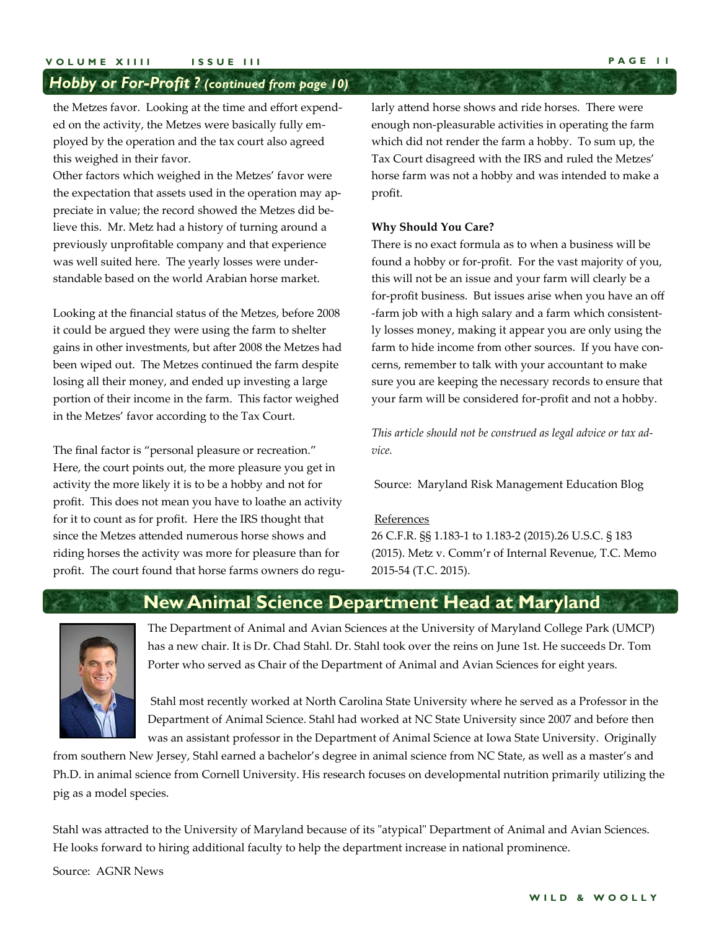#### *Hobby or For-Profit ? (continued from page 10)*

the Metzes favor. Looking at the time and effort expend‐ ed on the activity, the Metzes were basically fully em‐ ployed by the operation and the tax court also agreed this weighed in their favor.

Other factors which weighed in the Metzes' favor were the expectation that assets used in the operation may ap‐ preciate in value; the record showed the Metzes did be‐ lieve this. Mr. Metz had a history of turning around a previously unprofitable company and that experience was well suited here. The yearly losses were under‐ standable based on the world Arabian horse market.

Looking at the financial status of the Metzes, before 2008 it could be argued they were using the farm to shelter gains in other investments, but after 2008 the Metzes had been wiped out. The Metzes continued the farm despite losing all their money, and ended up investing a large portion of their income in the farm. This factor weighed in the Metzes' favor according to the Tax Court.

The final factor is "personal pleasure or recreation." Here, the court points out, the more pleasure you get in activity the more likely it is to be a hobby and not for profit. This does not mean you have to loathe an activity for it to count as for profit. Here the IRS thought that since the Metzes attended numerous horse shows and riding horses the activity was more for pleasure than for profit. The court found that horse farms owners do regularly attend horse shows and ride horses. There were enough non‐pleasurable activities in operating the farm which did not render the farm a hobby. To sum up, the Tax Court disagreed with the IRS and ruled the Metzes' horse farm was not a hobby and was intended to make a profit.

#### **Why Should You Care?**

There is no exact formula as to when a business will be found a hobby or for‐profit. For the vast majority of you, this will not be an issue and your farm will clearly be a for‐profit business. But issues arise when you have an off ‐farm job with a high salary and a farm which consistent‐ ly losses money, making it appear you are only using the farm to hide income from other sources. If you have concerns, remember to talk with your accountant to make sure you are keeping the necessary records to ensure that your farm will be considered for‐profit and not a hobby.

*This article should not be construed as legal advice or tax advice.* 

Source: Maryland Risk Management Education Blog

#### References

26 C.F.R. §§ 1.183‐1 to 1.183‐2 (2015).26 U.S.C. § 183 (2015). Metz v. Comm'r of Internal Revenue, T.C. Memo 2015‐54 (T.C. 2015).

### **New Animal Science Department Head at Maryland**

The Department of Animal and Avian Sciences at the University of Maryland College Park (UMCP) has a new chair. It is Dr. Chad Stahl. Dr. Stahl took over the reins on June 1st. He succeeds Dr. Tom Porter who served as Chair of the Department of Animal and Avian Sciences for eight years.

 Stahl most recently worked at North Carolina State University where he served as a Professor in the Department of Animal Science. Stahl had worked at NC State University since 2007 and before then was an assistant professor in the Department of Animal Science at Iowa State University. Originally

from southern New Jersey, Stahl earned a bachelor's degree in animal science from NC State, as well as a master's and Ph.D. in animal science from Cornell University. His research focuses on developmental nutrition primarily utilizing the pig as a model species.

Stahl was attracted to the University of Maryland because of its "atypical" Department of Animal and Avian Sciences. He looks forward to hiring additional faculty to help the department increase in national prominence.

Source: AGNR News